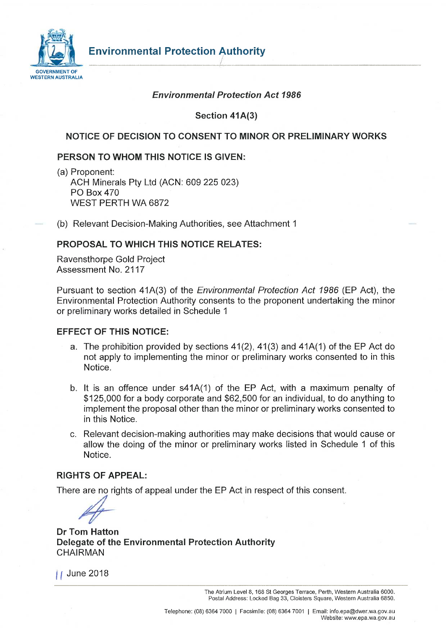

### *Environmental Protection Act 1986*

**Section 41A(3)** 

## **NOTICE OF DECISION TO CONSENT TO MINOR OR PRELIMINARY WORKS**

#### **PERSON TO WHOM THIS NOTICE IS GIVEN:**

(a) Proponent: ACH Minerals Pty Ltd (ACN: 609 225 023) PO Box 470 WEST PERTH WA 6872

(b) Relevant Decision-Making Authorities, see Attachment 1

#### **PROPOSAL TO WHICH THIS NOTICE RELATES:**

Ravensthorpe Gold Project Assessment No. 2117

Pursuant to section 41A(3) of the *Environmental Protection Act 1986* (EP Act), the Environmental Protection Authority consents to the proponent undertaking the minor or preliminary works detailed in Schedule 1

#### **EFFECT OF THIS NOTICE:**

- a. The prohibition provided by sections 41(2), 41(3) and 41A(1) of the EP Act do not apply to implementing the minor or preliminary works consented to in this Notice.
- b. It is an offence under s41A(1) of the EP Act, with a maximum penalty of \$125,000 for a body corporate and \$62,500 for an individual, to do anything to implement the proposal other than the minor or preliminary works consented to in this Notice.
- c. Relevant decision-making authorities may make decisions that would cause or allow the doing of the minor or preliminary works listed in Schedule 1 of this Notice.

#### **RIGHTS OF APPEAL:**

There are no rights of appeal under the EP Act in respect of this consent.

**Dr Tom Hatton Delegate of the Environmental Protection Authority**  CHAIRMAN

*| f* June 2018

The Atrium Level 8, 168 St Georges Terrace, Perth, Western Australia 6000. Postal Address: Locked Bag 33, Cloisters Square, Western Australia 6850.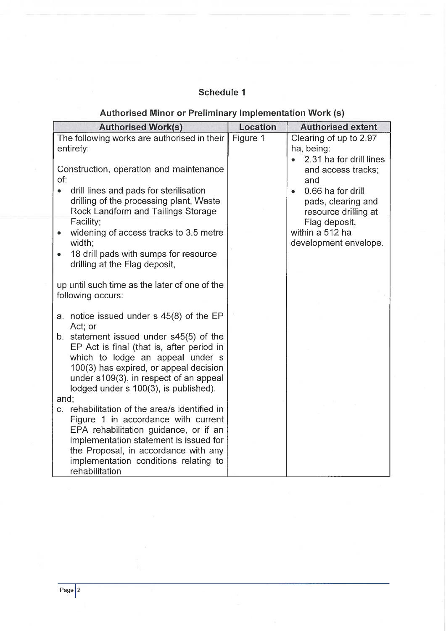# **Schedule 1**

# **Authorised Minor or Preliminary Implementation Work (s)**

| <b>Authorised Work(s)</b>                                                                                                                                                                                    | Location | <b>Authorised extent</b>                                                     |
|--------------------------------------------------------------------------------------------------------------------------------------------------------------------------------------------------------------|----------|------------------------------------------------------------------------------|
| The following works are authorised in their<br>entirety:                                                                                                                                                     | Figure 1 | Clearing of up to 2.97<br>ha, being:<br>2.31 ha for drill lines              |
| Construction, operation and maintenance<br>of:                                                                                                                                                               |          | and access tracks;<br>and                                                    |
| drill lines and pads for sterilisation<br>$\bullet$<br>drilling of the processing plant, Waste<br>Rock Landform and Tailings Storage                                                                         |          | 0.66 ha for drill<br>$\bullet$<br>pads, clearing and<br>resource drilling at |
| Facility;<br>widening of access tracks to 3.5 metre<br>width;                                                                                                                                                |          | Flag deposit,<br>within a 512 ha<br>development envelope.                    |
| 18 drill pads with sumps for resource<br>drilling at the Flag deposit,                                                                                                                                       |          |                                                                              |
| up until such time as the later of one of the<br>following occurs:                                                                                                                                           |          |                                                                              |
| a. notice issued under $s$ 45(8) of the EP<br>Act; or                                                                                                                                                        |          |                                                                              |
| b. statement issued under s45(5) of the<br>EP Act is final (that is, after period in<br>which to lodge an appeal under s<br>100(3) has expired, or appeal decision<br>under s109(3), in respect of an appeal |          |                                                                              |
| lodged under s 100(3), is published).<br>and;                                                                                                                                                                |          |                                                                              |
| c. rehabilitation of the area/s identified in<br>Figure 1 in accordance with current<br>EPA rehabilitation guidance, or if an                                                                                |          |                                                                              |
| implementation statement is issued for<br>the Proposal, in accordance with any<br>implementation conditions relating to<br>rehabilitation                                                                    |          |                                                                              |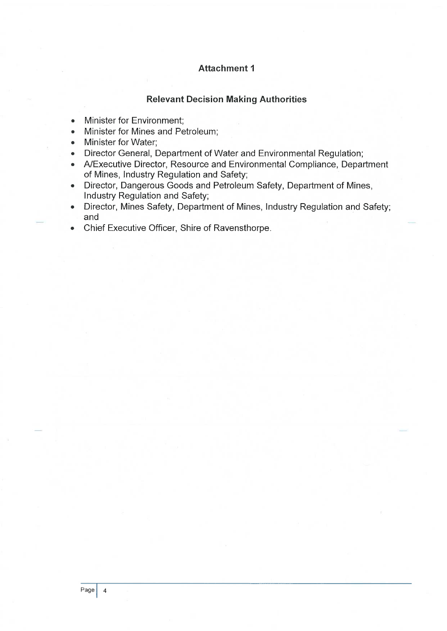### **Attachment 1**

#### **Relevant Decision Making Authorities**

- Minister for Environment;
- Minister for Mines and Petroleum;
- Minister for Water;
- Director General, Department of Water and Environmental Regulation;
- A/Executive Director, Resource and Environmental Compliance, Department of Mines, Industry Regulation and Safety;
- Director, Dangerous Goods and Petroleum Safety, Department of Mines, Industry Regulation and Safety;
- Director, Mines Safety, Department of Mines, Industry Regulation and Safety; and
- Chief Executive Officer, Shire of Ravensthorpe.